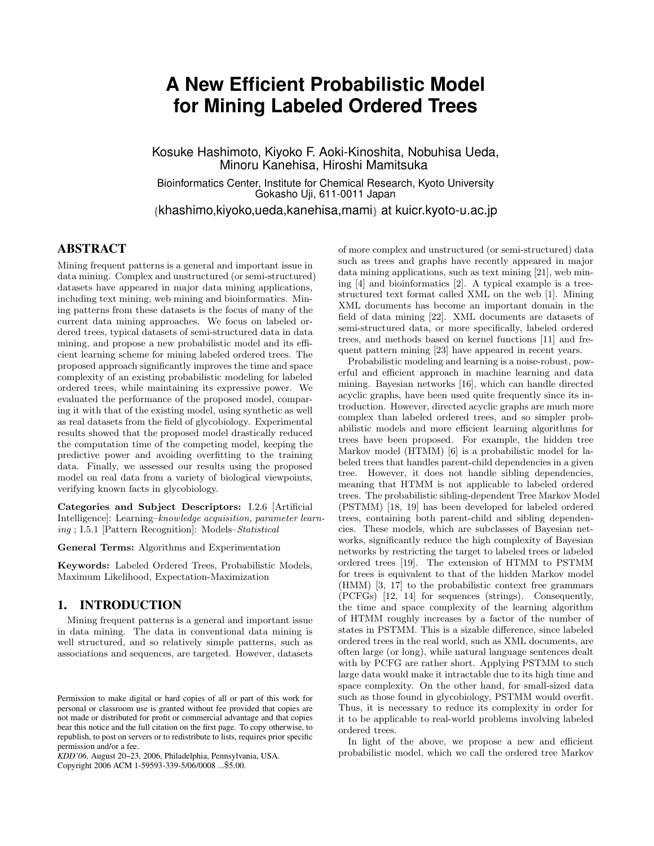# **A New Efficient Probabilistic Model for Mining Labeled Ordered Trees**

Kosuke Hashimoto, Kiyoko F. Aoki-Kinoshita, Nobuhisa Ueda, Minoru Kanehisa, Hiroshi Mamitsuka Bioinformatics Center, Institute for Chemical Research, Kyoto University Gokasho Uji, 611-0011 Japan {khashimo,kiyoko,ueda,kanehisa,mami} at kuicr.kyoto-u.ac.jp

# ABSTRACT

Mining frequent patterns is a general and important issue in data mining. Complex and unstructured (or semi-structured) datasets have appeared in major data mining applications, including text mining, web mining and bioinformatics. Mining patterns from these datasets is the focus of many of the current data mining approaches. We focus on labeled ordered trees, typical datasets of semi-structured data in data mining, and propose a new probabilistic model and its efficient learning scheme for mining labeled ordered trees. The proposed approach significantly improves the time and space complexity of an existing probabilistic modeling for labeled ordered trees, while maintaining its expressive power. We evaluated the performance of the proposed model, comparing it with that of the existing model, using synthetic as well as real datasets from the field of glycobiology. Experimental results showed that the proposed model drastically reduced the computation time of the competing model, keeping the predictive power and avoiding overfitting to the training data. Finally, we assessed our results using the proposed model on real data from a variety of biological viewpoints, verifying known facts in glycobiology.

**Categories and Subject Descriptors:** I.2.6 [Artificial Intelligence]: Learning–*knowledge acquisition, parameter learning* ; I.5.1 [Pattern Recognition]: Models–*Statistical*

**General Terms:** Algorithms and Experimentation

**Keywords:** Labeled Ordered Trees, Probabilistic Models, Maximum Likelihood, Expectation-Maximization

## 1. INTRODUCTION

Mining frequent patterns is a general and important issue in data mining. The data in conventional data mining is well structured, and so relatively simple patterns, such as associations and sequences, are targeted. However, datasets

*KDD'06,* August 20–23, 2006, Philadelphia, Pennsylvania, USA. Copyright 2006 ACM 1-59593-339-5/06/0008 ...\$5.00.

of more complex and unstructured (or semi-structured) data such as trees and graphs have recently appeared in major data mining applications, such as text mining [21], web mining [4] and bioinformatics [2]. A typical example is a treestructured text format called XML on the web [1]. Mining XML documents has become an important domain in the field of data mining [22]. XML documents are datasets of semi-structured data, or more specifically, labeled ordered trees, and methods based on kernel functions [11] and frequent pattern mining [23] have appeared in recent years.

Probabilistic modeling and learning is a noise-robust, powerful and efficient approach in machine learning and data mining. Bayesian networks [16], which can handle directed acyclic graphs, have been used quite frequently since its introduction. However, directed acyclic graphs are much more complex than labeled ordered trees, and so simpler probabilistic models and more efficient learning algorithms for trees have been proposed. For example, the hidden tree Markov model (HTMM) [6] is a probabilistic model for labeled trees that handles parent-child dependencies in a given tree. However, it does not handle sibling dependencies, meaning that HTMM is not applicable to labeled ordered trees. The probabilistic sibling-dependent Tree Markov Model (PSTMM) [18, 19] has been developed for labeled ordered trees, containing both parent-child and sibling dependencies. These models, which are subclasses of Bayesian networks, significantly reduce the high complexity of Bayesian networks by restricting the target to labeled trees or labeled ordered trees [19]. The extension of HTMM to PSTMM for trees is equivalent to that of the hidden Markov model (HMM) [3, 17] to the probabilistic context free grammars (PCFGs) [12, 14] for sequences (strings). Consequently, the time and space complexity of the learning algorithm of HTMM roughly increases by a factor of the number of states in PSTMM. This is a sizable difference, since labeled ordered trees in the real world, such as XML documents, are often large (or long), while natural language sentences dealt with by PCFG are rather short. Applying PSTMM to such large data would make it intractable due to its high time and space complexity. On the other hand, for small-sized data such as those found in glycobiology, PSTMM would overfit. Thus, it is necessary to reduce its complexity in order for it to be applicable to real-world problems involving labeled ordered trees.

In light of the above, we propose a new and efficient probabilistic model, which we call the ordered tree Markov

Permission to make digital or hard copies of all or part of this work for personal or classroom use is granted without fee provided that copies are not made or distributed for profit or commercial advantage and that copies bear this notice and the full citation on the first page. To copy otherwise, to republish, to post on servers or to redistribute to lists, requires prior specific permission and/or a fee.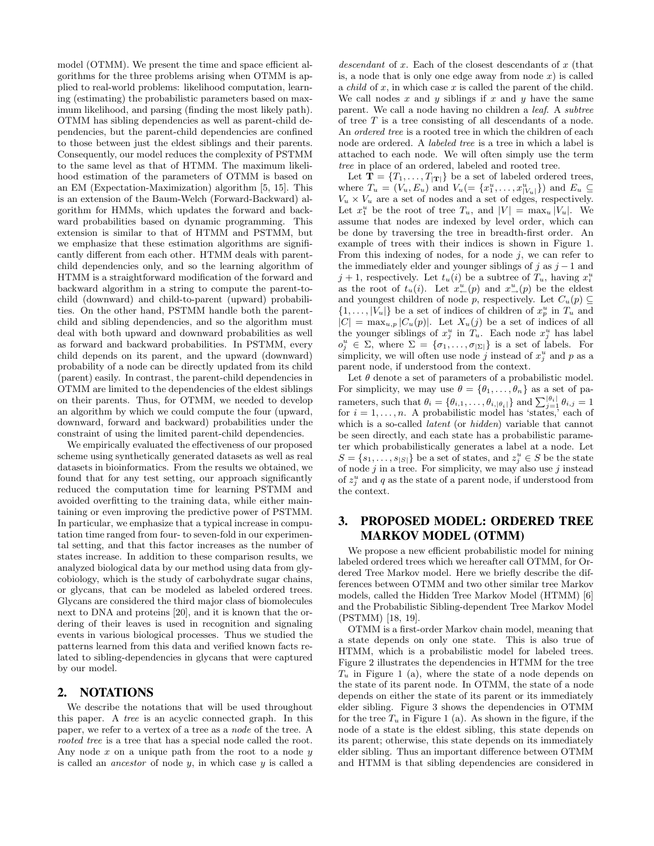model (OTMM). We present the time and space efficient algorithms for the three problems arising when OTMM is applied to real-world problems: likelihood computation, learning (estimating) the probabilistic parameters based on maximum likelihood, and parsing (finding the most likely path). OTMM has sibling dependencies as well as parent-child dependencies, but the parent-child dependencies are confined to those between just the eldest siblings and their parents. Consequently, our model reduces the complexity of PSTMM to the same level as that of HTMM. The maximum likelihood estimation of the parameters of OTMM is based on an EM (Expectation-Maximization) algorithm [5, 15]. This is an extension of the Baum-Welch (Forward-Backward) algorithm for HMMs, which updates the forward and backward probabilities based on dynamic programming. This extension is similar to that of HTMM and PSTMM, but we emphasize that these estimation algorithms are significantly different from each other. HTMM deals with parentchild dependencies only, and so the learning algorithm of HTMM is a straightforward modification of the forward and backward algorithm in a string to compute the parent-tochild (downward) and child-to-parent (upward) probabilities. On the other hand, PSTMM handle both the parentchild and sibling dependencies, and so the algorithm must deal with both upward and downward probabilities as well as forward and backward probabilities. In PSTMM, every child depends on its parent, and the upward (downward) probability of a node can be directly updated from its child (parent) easily. In contrast, the parent-child dependencies in OTMM are limited to the dependencies of the eldest siblings on their parents. Thus, for OTMM, we needed to develop an algorithm by which we could compute the four (upward, downward, forward and backward) probabilities under the constraint of using the limited parent-child dependencies.

We empirically evaluated the effectiveness of our proposed scheme using synthetically generated datasets as well as real datasets in bioinformatics. From the results we obtained, we found that for any test setting, our approach significantly reduced the computation time for learning PSTMM and avoided overfitting to the training data, while either maintaining or even improving the predictive power of PSTMM. In particular, we emphasize that a typical increase in computation time ranged from four- to seven-fold in our experimental setting, and that this factor increases as the number of states increase. In addition to these comparison results, we analyzed biological data by our method using data from glycobiology, which is the study of carbohydrate sugar chains, or glycans, that can be modeled as labeled ordered trees. Glycans are considered the third major class of biomolecules next to DNA and proteins [20], and it is known that the ordering of their leaves is used in recognition and signaling events in various biological processes. Thus we studied the patterns learned from this data and verified known facts related to sibling-dependencies in glycans that were captured by our model.

# 2. NOTATIONS

We describe the notations that will be used throughout this paper. A *tree* is an acyclic connected graph. In this paper, we refer to a vertex of a tree as a *node* of the tree. A *rooted tree* is a tree that has a special node called the root. Any node  $x$  on a unique path from the root to a node  $y$ is called an *ancestor* of node y, in which case y is called a

descendant of x. Each of the closest descendants of x (that is, a node that is only one edge away from node  $x$ ) is called a *child* of  $x$ , in which case  $x$  is called the parent of the child. We call nodes x and y siblings if x and y have the same parent. We call a node having no children a *leaf*. A *subtree* of tree T is a tree consisting of all descendants of a node. An *ordered tree* is a rooted tree in which the children of each node are ordered. A *labeled tree* is a tree in which a label is attached to each node. We will often simply use the term *tree* in place of an ordered, labeled and rooted tree.

Let  $\mathbf{T} = \{T_1, \ldots, T_{|\mathbf{T}|}\}\$ be a set of labeled ordered trees, where  $T_u = (V_u, E_u)$  and  $V_u = \{x_1^u, \ldots, x_{|V_u|}^u\}$  and  $E_u \subseteq$ <br> $V \times V$  are a set of podes and a set of edges respectively  $V_u \times V_u$  are a set of nodes and a set of edges, respectively. Let  $x_1^u$  be the root of tree  $T_u$ , and  $|V| = \max_u |V_u|$ . We assume that nodes are indexed by level order, which can assume that nodes are indexed by level order, which can be done by traversing the tree in breadth-first order. An example of trees with their indices is shown in Figure 1. From this indexing of nodes, for a node  $j$ , we can refer to the immediately elder and younger siblings of j as  $j - 1$  and  $j + 1$ , respectively. Let  $t_u(i)$  be a subtree of  $T_u$ , having  $x_i^u$ <br>as the root of  $t_i(i)$  Let  $x^u_i(n)$  and  $x^u_i(n)$  be the eldest as the root of  $t_u(i)$ . Let  $x_{\leftarrow}^u(p)$  and  $x_{\rightarrow}^u(p)$  be the eldest<br>and youngest children of node *n* respectively. Let  $C_n(n) \subseteq$ and youngest children of node p, respectively. Let  $C_u(p) \subseteq$  $\{1,\ldots, |V_u|\}$  be a set of indices of children of  $x_p^u$  in  $T_u$  and  $|C| = \max |C_u(v)|$ . Let  $X_u(i)$  be a set of indices of all  $|C| = \max_{u,p} |C_u(p)|$ . Let  $X_u(j)$  be a set of indices of all the younger siblings of  $x_j^u$  in  $T_u$ . Each node  $x_j^u$  has label<br> $a^u \in \Sigma$ , where  $\Sigma = \{ \sigma_i, \sigma_i, \sigma_i \}$  is a set of labels. For  $o_j^u \in \Sigma$ , where  $\Sigma = {\sigma_1, \ldots, \sigma_{|\Sigma|}}$  is a set of labels. For simplicity we will often use node *i* instead of  $x_i^u$  and n as a simplicity, we will often use node j instead of  $x_j^u$  and p as a parent node if understood from the context parent node, if understood from the context.

Let  $\theta$  denote a set of parameters of a probabilistic model. For simplicity, we may use  $\theta = {\theta_1, \ldots, \theta_n}$  as a set of parameters, such that  $\theta_i = \{\theta_{i,1}, \dots, \theta_{i,|\theta_i|}\}$  and  $\sum_{j=1}^{|\theta_i|} \theta_{i,j} = 1$  for  $i-1$  n A probabilistic model has 'states' each of for  $i = 1, \ldots, n$ . A probabilistic model has 'states,' each of which is a so-called *latent* (or *hidden*) variable that cannot which is a so-called *latent* (or *hidden*) variable that cannot be seen directly, and each state has a probabilistic parameter which probabilistically generates a label at a node. Let  $S = \{s_1, \ldots, s_{|S|}\}\$ be a set of states, and  $z_j^u \in S$  be the state of node *i* in a tree. For simplicity we may also use *i* instead of node  $j$  in a tree. For simplicity, we may also use  $j$  instead of  $z_j^u$  and q as the state of a parent node, if understood from<br>the context the context.

# 3. PROPOSED MODEL: ORDERED TREE MARKOV MODEL (OTMM)

We propose a new efficient probabilistic model for mining labeled ordered trees which we hereafter call OTMM, for Ordered Tree Markov model. Here we briefly describe the differences between OTMM and two other similar tree Markov models, called the Hidden Tree Markov Model (HTMM) [6] and the Probabilistic Sibling-dependent Tree Markov Model (PSTMM) [18, 19].

OTMM is a first-order Markov chain model, meaning that a state depends on only one state. This is also true of HTMM, which is a probabilistic model for labeled trees. Figure 2 illustrates the dependencies in HTMM for the tree  $T_u$  in Figure 1 (a), where the state of a node depends on the state of its parent node. In OTMM, the state of a node depends on either the state of its parent or its immediately elder sibling. Figure 3 shows the dependencies in OTMM for the tree  $T_u$  in Figure 1 (a). As shown in the figure, if the node of a state is the eldest sibling, this state depends on its parent; otherwise, this state depends on its immediately elder sibling. Thus an important difference between OTMM and HTMM is that sibling dependencies are considered in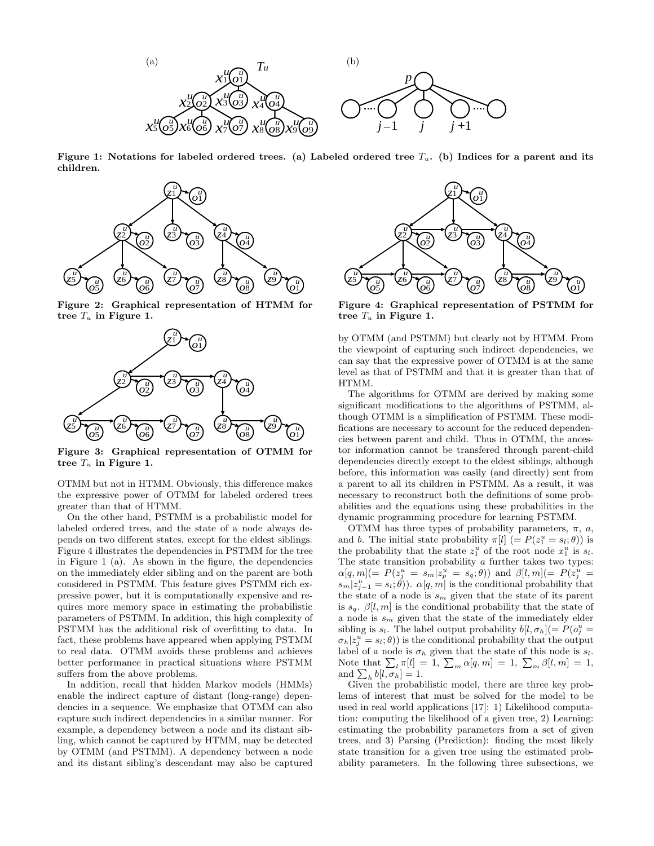

**Figure 1: Notations for labeled ordered trees. (a) Labeled ordered tree** T<sup>u</sup>**. (b) Indices for a parent and its children.**



**Figure 2: Graphical representation of HTMM for** tree  $T_u$  in Figure 1.



**Figure 3: Graphical representation of OTMM for tree** <sup>T</sup><sup>u</sup> **in Figure 1.**

OTMM but not in HTMM. Obviously, this difference makes the expressive power of OTMM for labeled ordered trees greater than that of HTMM.

On the other hand, PSTMM is a probabilistic model for labeled ordered trees, and the state of a node always depends on two different states, except for the eldest siblings. Figure 4 illustrates the dependencies in PSTMM for the tree in Figure 1 (a). As shown in the figure, the dependencies on the immediately elder sibling and on the parent are both considered in PSTMM. This feature gives PSTMM rich expressive power, but it is computationally expensive and requires more memory space in estimating the probabilistic parameters of PSTMM. In addition, this high complexity of PSTMM has the additional risk of overfitting to data. In fact, these problems have appeared when applying PSTMM to real data. OTMM avoids these problems and achieves better performance in practical situations where PSTMM suffers from the above problems.

In addition, recall that hidden Markov models (HMMs) enable the indirect capture of distant (long-range) dependencies in a sequence. We emphasize that OTMM can also capture such indirect dependencies in a similar manner. For example, a dependency between a node and its distant sibling, which cannot be captured by HTMM, may be detected by OTMM (and PSTMM). A dependency between a node and its distant sibling's descendant may also be captured



**Figure 4: Graphical representation of PSTMM for tree** <sup>T</sup><sup>u</sup> **in Figure 1.**

by OTMM (and PSTMM) but clearly not by HTMM. From the viewpoint of capturing such indirect dependencies, we can say that the expressive power of OTMM is at the same level as that of PSTMM and that it is greater than that of HTMM.

The algorithms for OTMM are derived by making some significant modifications to the algorithms of PSTMM, although OTMM is a simplification of PSTMM. These modifications are necessary to account for the reduced dependencies between parent and child. Thus in OTMM, the ancestor information cannot be transfered through parent-child dependencies directly except to the eldest siblings, although before, this information was easily (and directly) sent from a parent to all its children in PSTMM. As a result, it was necessary to reconstruct both the definitions of some probabilities and the equations using these probabilities in the dynamic programming procedure for learning PSTMM.

OTMM has three types of probability parameters,  $\pi$ ,  $a$ , and b. The initial state probability  $\pi[l]$   $(= P(z_1^u = s_l; \theta))$  is<br>the probability that the state  $z_i^u$  of the root node  $x_i^u$  is s. the probability that the state  $z_1^u$  of the root node  $x_1^u$  is  $s_l$ .<br>The state transition probability a further takes two types: The state transition probability a further takes two types:<br> $\alpha[a,m] = P(x^u - s^{-1}a^u - s^{-1}a)$  and  $\beta[l,m] = P(x^u - s^{-1}a^u - s^{-1}a)$  $\alpha[q,m] = P(z_j^u = s_m | z_p^u = s_q;\theta)$  and  $\beta[l,m] = P(z_j^u = s_{\theta}|z_{\theta}^u = s_{\theta}|s_{\theta}|)$  and is the conditional probability that  $s_m|z_{j-1}^u = s_l; \theta)$ ).  $\alpha[q, m]$  is the conditional probability that<br>the state of a node is so given that the state of its parent the state of a node is  $s_m$  given that the state of its parent is  $s_q$ .  $\beta[l, m]$  is the conditional probability that the state of a node is  $s_m$  given that the state of the immediately elder sibling is  $s_l$ . The label output probability  $b[l, \sigma_h] = P(o_j^u = \sigma_l | s_u^u = s_l \cdot \theta)$  is the conditional probability that the output  $\sigma_h|z_j^u = s_l; \theta$ ) is the conditional probability that the output<br>label of a node is  $\sigma_k$  given that the state of this node is s label of a node is  $\sigma_h$  given that the state of this node is  $s_l$ . Note that  $\sum_l \pi[l] = 1$ ,  $\sum_m \alpha[q, m] = 1$ ,  $\sum_m \beta[l, m] = 1$ , and  $\sum_h b[l, \sigma_h] = 1.$ <br>Given the probable

Given the probabilistic model, there are three key problems of interest that must be solved for the model to be used in real world applications [17]: 1) Likelihood computation: computing the likelihood of a given tree, 2) Learning: estimating the probability parameters from a set of given trees, and 3) Parsing (Prediction): finding the most likely state transition for a given tree using the estimated probability parameters. In the following three subsections, we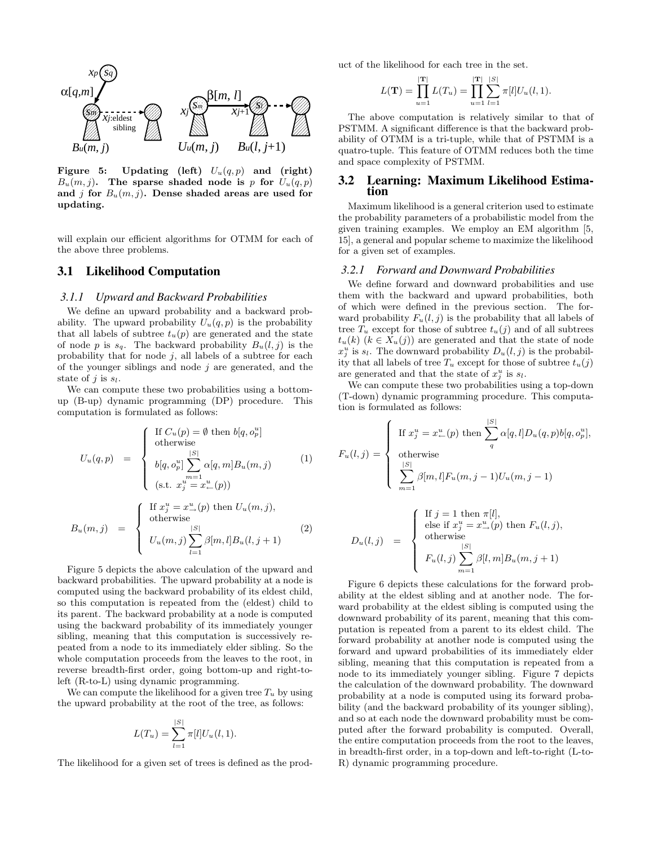

**Figure 5:** Updating (left)  $U_u(q,p)$  and (right)  $B_u(m, j)$ . The sparse shaded node is p for  $U_u(q, p)$ and *j* for  $B_u(m, j)$ . Dense shaded areas are used for **updating.**

will explain our efficient algorithms for OTMM for each of the above three problems.

# 3.1 Likelihood Computation

## *3.1.1 Upward and Backward Probabilities*

We define an upward probability and a backward probability. The upward probability  $U_u(q,p)$  is the probability that all labels of subtree  $t_u(p)$  are generated and the state of node p is  $s_q$ . The backward probability  $B_u(l, j)$  is the probability that for node  $j$ , all labels of a subtree for each of the younger siblings and node  $j$  are generated, and the state of *i* is  $s_i$ .

We can compute these two probabilities using a bottomup (B-up) dynamic programming (DP) procedure. This computation is formulated as follows:

$$
U_u(q,p) = \begin{cases} \text{If } C_u(p) = \emptyset \text{ then } b[q, o_p^u] \\ \text{otherwise} \\ b[q, o_p^u] \sum_{m=1}^{|S|} \alpha[q, m] B_u(m, j) \\ (\text{s.t. } x_j^u = x_{\leftarrow}^u(p)) \end{cases} (1)
$$

$$
B_u(m,j) = \begin{cases} \text{If } x_j^u = x_{\rightarrow}^u(p) \text{ then } U_u(m,j), \\ \text{otherwise} \\ U_u(m,j) \sum_{l=1}^{|S|} \beta[m,l] B_u(l,j+1) \end{cases}
$$
(2)

Figure 5 depicts the above calculation of the upward and backward probabilities. The upward probability at a node is computed using the backward probability of its eldest child, so this computation is repeated from the (eldest) child to its parent. The backward probability at a node is computed using the backward probability of its immediately younger sibling, meaning that this computation is successively repeated from a node to its immediately elder sibling. So the whole computation proceeds from the leaves to the root, in reverse breadth-first order, going bottom-up and right-toleft (R-to-L) using dynamic programming.

We can compute the likelihood for a given tree  $T_u$  by using the upward probability at the root of the tree, as follows:

$$
L(T_u) = \sum_{l=1}^{|S|} \pi[l] U_u(l, 1).
$$

The likelihood for a given set of trees is defined as the prod-

uct of the likelihood for each tree in the set.

$$
L(\mathbf{T}) = \prod_{u=1}^{|\mathbf{T}|} L(T_u) = \prod_{u=1}^{|\mathbf{T}|} \sum_{l=1}^{|\mathcal{S}|} \pi[l] U_u(l, 1).
$$

The above computation is relatively similar to that of PSTMM. A significant difference is that the backward probability of OTMM is a tri-tuple, while that of PSTMM is a quatro-tuple. This feature of OTMM reduces both the time and space complexity of PSTMM.

# 3.2 Learning: Maximum Likelihood Estima- tion

Maximum likelihood is a general criterion used to estimate the probability parameters of a probabilistic model from the given training examples. We employ an EM algorithm [5, 15], a general and popular scheme to maximize the likelihood for a given set of examples.

#### *3.2.1 Forward and Downward Probabilities*

We define forward and downward probabilities and use them with the backward and upward probabilities, both of which were defined in the previous section. The forward probability  $F_u(l, j)$  is the probability that all labels of tree  $T_u$  except for those of subtree  $t_u(j)$  and of all subtrees  $t_u(k)$   $(k \in X_u(j))$  are generated and that the state of node  $x_j^u$  is  $s_l$ . The downward probability  $D_u(l, j)$  is the probability that all labels of tree T, except for those of subtree  $t_j(i)$ ity that all labels of tree  $T_u$  except for those of subtree  $t_u(j)$ are generated and that the state of  $x_j^u$  is  $s_l$ .<br>We can compute these two probabilities us

We can compute these two probabilities using a top-down (T-down) dynamic programming procedure. This computation is formulated as follows:

$$
F_u(l,j) = \begin{cases} \text{If } x_j^u = x_{\leftarrow}^u(p) \text{ then } \sum_q^{|S|} \alpha[q,l]D_u(q,p)b[q,o_p^u], \\ \text{otherwise} \\ \sum_{m=1}^{|S|} \beta[m,l]F_u(m,j-1)U_u(m,j-1) \end{cases}
$$

$$
D_u(l,j) = \begin{cases} \n\text{If } j = 1 \text{ then } \pi[l],\\ \n\text{else if } x_j^u = x_{\rightarrow}^u(p) \text{ then } F_u(l,j),\\ \n\text{otherwise}\\ \nF_u(l,j) \sum_{m=1}^{|S|} \beta[l,m] B_u(m,j+1) \n\end{cases}
$$

Figure 6 depicts these calculations for the forward probability at the eldest sibling and at another node. The forward probability at the eldest sibling is computed using the downward probability of its parent, meaning that this computation is repeated from a parent to its eldest child. The forward probability at another node is computed using the forward and upward probabilities of its immediately elder sibling, meaning that this computation is repeated from a node to its immediately younger sibling. Figure 7 depicts the calculation of the downward probability. The downward probability at a node is computed using its forward probability (and the backward probability of its younger sibling), and so at each node the downward probability must be computed after the forward probability is computed. Overall, the entire computation proceeds from the root to the leaves, in breadth-first order, in a top-down and left-to-right (L-to-R) dynamic programming procedure.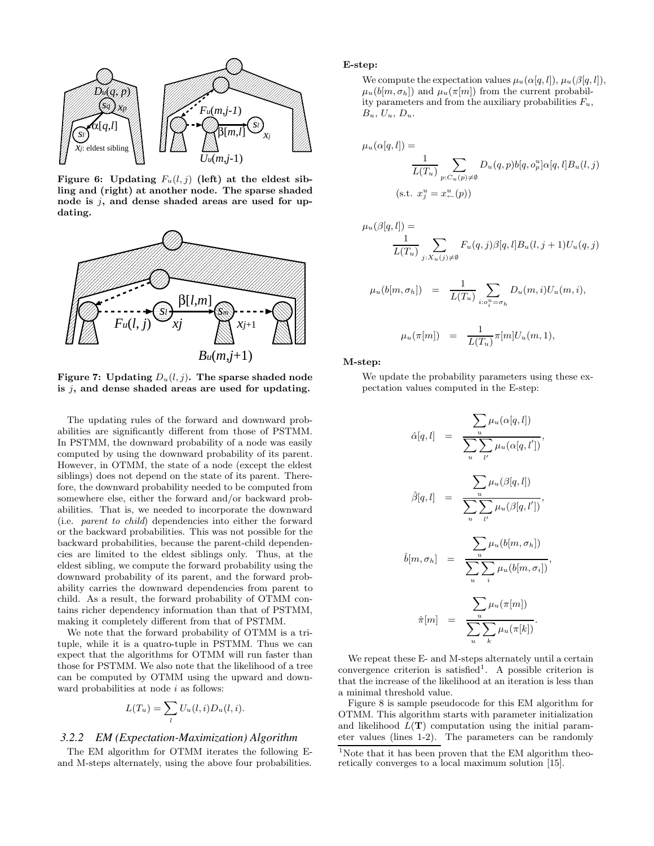

**Figure 6:** Updating  $F_u(l, j)$  (left) at the eldest sib**ling and (right) at another node. The sparse shaded node is** j**, and dense shaded areas are used for updating.**



**Figure 7:** Updating  $D_u(l, j)$ . The sparse shaded node **is** j**, and dense shaded areas are used for updating.**

The updating rules of the forward and downward probabilities are significantly different from those of PSTMM. In PSTMM, the downward probability of a node was easily computed by using the downward probability of its parent. However, in OTMM, the state of a node (except the eldest siblings) does not depend on the state of its parent. Therefore, the downward probability needed to be computed from somewhere else, either the forward and/or backward probabilities. That is, we needed to incorporate the downward (i.e. *parent to child*) dependencies into either the forward or the backward probabilities. This was not possible for the backward probabilities, because the parent-child dependencies are limited to the eldest siblings only. Thus, at the eldest sibling, we compute the forward probability using the downward probability of its parent, and the forward probability carries the downward dependencies from parent to child. As a result, the forward probability of OTMM contains richer dependency information than that of PSTMM, making it completely different from that of PSTMM.

We note that the forward probability of OTMM is a trituple, while it is a quatro-tuple in PSTMM. Thus we can expect that the algorithms for OTMM will run faster than those for PSTMM. We also note that the likelihood of a tree can be computed by OTMM using the upward and downward probabilities at node  $i$  as follows:

$$
L(T_u) = \sum_l U_u(l,i) D_u(l,i).
$$

## *3.2.2 EM (Expectation-Maximization) Algorithm*

The EM algorithm for OTMM iterates the following Eand M-steps alternately, using the above four probabilities.

## **E-step:**

We compute the expectation values  $\mu_u(\alpha[q, l]), \mu_u(\beta[q, l]),$  $\mu_u(b[m,\sigma_h])$  and  $\mu_u(\pi[m])$  from the current probability parameters and from the auxiliary probabilities  $F_u$ ,  $B_u$ ,  $U_u$ ,  $D_u$ .

$$
\mu_u(\alpha[q, l]) = \frac{1}{L(T_u)} \sum_{p:C_u(p)\neq\emptyset} D_u(q, p)b[q, o_p^u] \alpha[q, l] B_u(l, j)
$$
  
(s.t.  $x_j^u = x_{\leftarrow}^u(p)$ )

$$
\mu_u(\beta[q,l]) = \frac{1}{L(T_u)} \sum_{j:X_u(j)\neq\emptyset} F_u(q,j)\beta[q,l]B_u(l,j+1)U_u(q,j)
$$

$$
\mu_u(b[m,\sigma_h]) = \frac{1}{L(T_u)} \sum_{i:\sigma_i^u = \sigma_h} D_u(m,i)U_u(m,i),
$$

$$
\mu_u(\pi[m]) = \frac{1}{L(T_u)} \pi[m] U_u(m, 1),
$$

**M-step:**

We update the probability parameters using these expectation values computed in the E-step:

$$
\hat{\alpha}[q, l] = \frac{\sum_{u} \mu_u(\alpha[q, l])}{\sum_{u} \sum_{l'} \mu_u(\alpha[q, l'])},
$$

$$
\hat{\beta}[q, l] = \frac{\sum_{u} \mu_u(\beta[q, l'])}{\sum_{u} \sum_{l'} \mu_u(\beta[q, l'])},
$$

$$
\hat{b}[m, \sigma_h] = \frac{\sum_{u} \mu_u(b[m, \sigma_h])}{\sum_{u} \sum_{i} \mu_u(b[m, \sigma_i])},
$$

$$
\hat{\pi}[m] = \frac{\sum_{u} \mu_u(\pi[m])}{\sum_{u} \sum_{k} \mu_u(\pi[k])}.
$$

We repeat these E- and M-steps alternately until a certain convergence criterion is satisfied<sup>1</sup>. A possible criterion is that the increase of the likelihood at an iteration is less than a minimal threshold value.

Figure 8 is sample pseudocode for this EM algorithm for OTMM. This algorithm starts with parameter initialization and likelihood  $L(T)$  computation using the initial parameter values (lines 1-2). The parameters can be randomly

<sup>&</sup>lt;sup>1</sup>Note that it has been proven that the EM algorithm theoretically converges to a local maximum solution [15].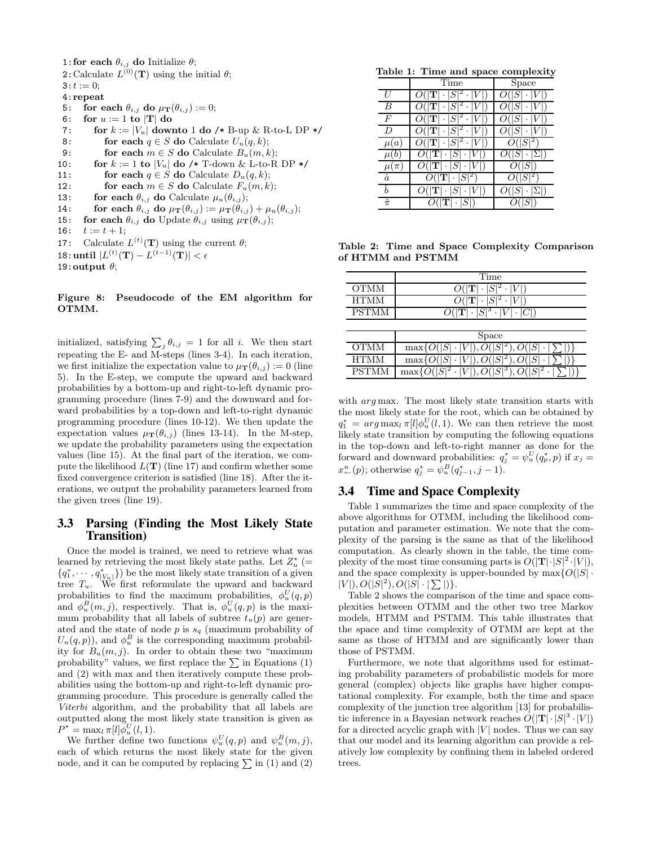**1:** for each  $\theta_{i,j}$  do Initialize  $\theta$ ; 2: Calculate  $L^{(0)}(\mathbf{T})$  using the initial  $\theta$ ;  $3: t := 0;$ 4:**repeat** 5: **for each**  $\theta_{i,j}$  **do**  $\mu_{\mathbf{T}}(\theta_{i,j}) := 0;$ <br>6: **for**  $u := 1$  **to**  $|\mathbf{T}|$  **do** 6: **for**  $u := 1$  **to**  $|\mathbf{T}|$  **do**<br>7: **for**  $k := |V_u|$  **dow** 7: **for**  $k := |V_u|$  **downto** 1 **do** /\* B-up & R-to-L DP \*/<br>8: **for each**  $q \in S$  **do** Calculate  $U_u(q, k)$ : 8: **for each**  $q \in S$  **do** Calculate  $U_u(q, k)$ ;<br>9: **for each**  $m \in S$  **do** Calculate  $B_u(m, k)$ 9: **for each**  $m \in S$  **do** Calculate  $B_u(m, k)$ ;<br>10: **for**  $k := 1$  **to**  $|V_u|$  **do**  $/$ **\*** T-down & L-to-R 10: **for**  $k := 1$  **to**  $|V_u|$  **do** /\* T-down & L-to-R DP \*/<br>11: **for each**  $q \in S$  **do** Calculate  $D_u(q, k)$ : 11: **for each**  $q \in S$  **do** Calculate  $D_u(q, k)$ ;<br>12: **for each**  $m \in S$  **do** Calculate  $F_u(m, k)$ 12: **for each**  $m \in S$  **do** Calculate  $F_u(m, k)$ ;<br>13: **for each**  $\theta_{i,j}$  **do** Calculate  $\mu_u(\theta_{i,j})$ ; 13: **for each**  $\theta_{i,j}$  **do** Calculate  $\mu_u(\theta_{i,j})$ ;<br>14: **for each**  $\theta_{i,j}$  **do**  $\mu_{\text{T}}(\theta_{i,j}) := \mu_{\text{T}}(\theta_{i,j})$ 14: **for each**  $\theta_{i,j}$  **do**  $\mu_{\mathbf{T}}(\theta_{i,j}) := \mu_{\mathbf{T}}(\theta_{i,j}) + \mu_{u}(\theta_{i,j});$ <br>15: **for each**  $\theta_{i,j}$  **do** Update  $\theta_{i,j}$  using  $\mu_{\mathbf{T}}(\theta_{i,j});$ **15: for each**  $\theta_{i,j}$  **do** Update  $\theta_{i,j}$  using  $\mu_{\mathbf{T}}(\theta_{i,j});$  **16:**  $t := t + 1$ ; 16:  $t := t + 1;$ <br>17: Calculate 17: Calculate  $L^{(t)}(\mathbf{T})$  using the current  $\theta$ ;<br>19: until  $|I^{(t)}(\mathbf{T})| \leq \epsilon$ **18:** until  $|L^{(t)}(\mathbf{T}) - L^{(t-1)}(\mathbf{T})| < \epsilon$ <br>**19:** output  $\theta$ :

19: **output**  $\theta$ ;

## **Figure 8: Pseudocode of the EM algorithm for OTMM.**

initialized, satisfying  $\sum_j \theta_{i,j} = 1$  for all *i*. We then start repeating the E- and M-steps (lines 3-4). In each iteration, we first initialize the expectation value to  $\mu_{\mathbf{T}}(\theta_{i,j}) := 0$  (line 5). In the E-step, we compute the upward and backward probabilities by a bottom-up and right-to-left dynamic programming procedure (lines 7-9) and the downward and forward probabilities by a top-down and left-to-right dynamic programming procedure (lines 10-12). We then update the expectation values  $\mu_{\mathbf{T}}(\theta_{i,j})$  (lines 13-14). In the M-step, we update the probability parameters using the expectation values (line 15). At the final part of the iteration, we compute the likelihood  $L(T)$  (line 17) and confirm whether some fixed convergence criterion is satisfied (line 18). After the iterations, we output the probability parameters learned from the given trees (line 19).

# 3.3 Parsing (Finding the Most Likely State Transition)

Once the model is trained, we need to retrieve what was learned by retrieving the most likely state paths. Let  $Z_u^*$  (=  $\{a_s^* \ldots a_s^* \ldots\}$  be the most likely state transition of a given  ${q_1^*, \dots, q_{|V_u|}^*}$  be the most likely state transition of a given<br>tree T<sub>We</sub> first reformulate the unward and backward tree  $T_u$ . We first reformulate the upward and backward<br>probabilities to find the maximum probabilities  $\phi^U(a, n)$ probabilities to find the maximum probabilities,  $\phi_u^U(q, p)$ <br>and  $\phi_B^B(m, i)$  respectively. That is  $\phi_U^U(q, n)$  is the maxiand  $\phi_u^B(m, j)$ , respectively. That is,  $\phi_u^U(q, p)$  is the maxi-<br>mum probability that all labels of subtree t (n) are genermum probability that all labels of subtree  $t_u(p)$  are generated and the state of node  $p$  is  $s_q$  (maximum probability of  $U_u(q,p)$ , and  $\phi_u^B$  is the corresponding maximum probabil-<br>ity for  $B_n$  (m i). In order to obtain these two "maximum ity for  $B_u(m, j)$ . In order to obtain these two "maximum" probability" values, we first replace the  $\sum$  in Equations (1) and (2) with max and then iteratively compute these probabilities using the bottom-up and right-to-left dynamic programming procedure. This procedure is generally called the *Viterbi* algorithm, and the probability that all labels are outputted along the most likely state transition is given as  $P^* = \max_l \pi[l] \phi_u^U(l, 1).$  $u_u^U(l,1)$ .<br>Fine ty

We further define two functions  $\psi_u^U(q, p)$  and  $\psi_u^B(m, j)$ ,<br>ch of which returns the most likely state for the given each of which returns the most likely state for the given node, and it can be computed by replacing  $\sum$  in (1) and (2)

**Table 1: Time and space complexity**

|              | Time                                                  | Space                         |  |  |
|--------------|-------------------------------------------------------|-------------------------------|--|--|
| H            | S <br>$O( \mathbf{T} )$<br>V<br>$\bullet$             |                               |  |  |
| B            | $\overline{z}$<br> S <br>ΟŒ<br>$\bullet$<br>$\bullet$ | 0                             |  |  |
| F            | $ \bar{S} $<br>$\overline{z}$<br>0<br>٠               |                               |  |  |
| D            | $\mathbf{z}$<br> S <br>O(1)<br>٠                      |                               |  |  |
| $\mu(a)$     | $^{2}$ .<br>$\cdot$ $ S $<br>$O( \mathbf{T} )$<br>V   | $ S ^2$<br>O(                 |  |  |
| $\mu$ (<br>b | S<br>$\bullet$<br>٠                                   | $\Sigma$ )<br>0               |  |  |
| $\pi$        | S<br>т<br>٠                                           | ( )                           |  |  |
| $\hat{a}$    | $\mathbf{z}$<br>$\left  S \right $<br>O(<br>$\bullet$ | $\, S \,$<br>( )              |  |  |
| ĥ            | $\cdot  S $<br> V <br>$O( \mathbf{T} )$<br>٠          | $\cdot  \Sigma $<br> S <br>O( |  |  |
| $\hat{\pi}$  | S <br>$\mathbf{T}$<br>0<br>$\cdot$                    |                               |  |  |
|              |                                                       |                               |  |  |

**Table 2: Time and Space Complexity Comparison of HTMM and PSTMM**

|              | Time     |  |  |  |
|--------------|----------|--|--|--|
| <b>OTMM</b>  |          |  |  |  |
| <b>HTMM</b>  |          |  |  |  |
| <b>PSTMM</b> | ٠        |  |  |  |
|              |          |  |  |  |
|              | Space    |  |  |  |
| <b>OTMM</b>  | $\max\{$ |  |  |  |
| <b>HTMM</b>  | $max\{$  |  |  |  |
| <b>PSTMM</b> | $max\{$  |  |  |  |
|              |          |  |  |  |

with *arg* max. The most likely state transition starts with the most likely state for the root, which can be obtained by  $q_1^* = arg \max_l \pi[l] \phi_u^U(l, 1)$ . We can then retrieve the most<br>likely state transition by computing the following equations likely state transition by computing the following equations in the top-down and left-to-right manner as done for the forward and downward probabilities:  $q_j^* = \psi_u^U(q_p^*, p)$  if  $x_j =$ <br> $\psi_u^u(p_i)$ , otherwise  $e_i^* = \psi_b^B(e_i^*, q_i^*, 1)$  $x_{\leftarrow}^{u}(p)$ ; otherwise  $q_j^* = \psi_u^B(q_{j-1}^*, j-1)$ .

# 3.4 Time and Space Complexity

Table 1 summarizes the time and space complexity of the above algorithms for OTMM, including the likelihood computation and parameter estimation. We note that the complexity of the parsing is the same as that of the likelihood computation. As clearly shown in the table, the time complexity of the most time consuming parts is  $O(|\mathbf{T}| \cdot |S|^2 \cdot |V|)$ ,<br>and the space complexity is upper-bounded by  $\max\{O(|S|, \dots, S|\})$ and the space complexity is upper-bounded by  $\max\{O(|S| \cdot \}$  $|V|$ ,  $O(|S|^2)$ ,  $O(|S|\cdot|\sum)|$ }.<br>Table 2 shows the compar-

Table 2 shows the comparison of the time and space complexities between OTMM and the other two tree Markov models, HTMM and PSTMM. This table illustrates that the space and time complexity of OTMM are kept at the same as those of HTMM and are significantly lower than those of PSTMM.

Furthermore, we note that algorithms used for estimating probability parameters of probabilistic models for more general (complex) objects like graphs have higher computational complexity. For example, both the time and space complexity of the junction tree algorithm [13] for probabilistic inference in a Bayesian network reaches  $\hat{O}(|\mathbf{T}| \cdot |S|^3 \cdot |V|)$ <br>for a directed acyclic graph with  $|V|$  nodes. Thus we can say for a directed acyclic graph with  $|V|$  nodes. Thus we can say that our model and its learning algorithm can provide a relatively low complexity by confining them in labeled ordered trees.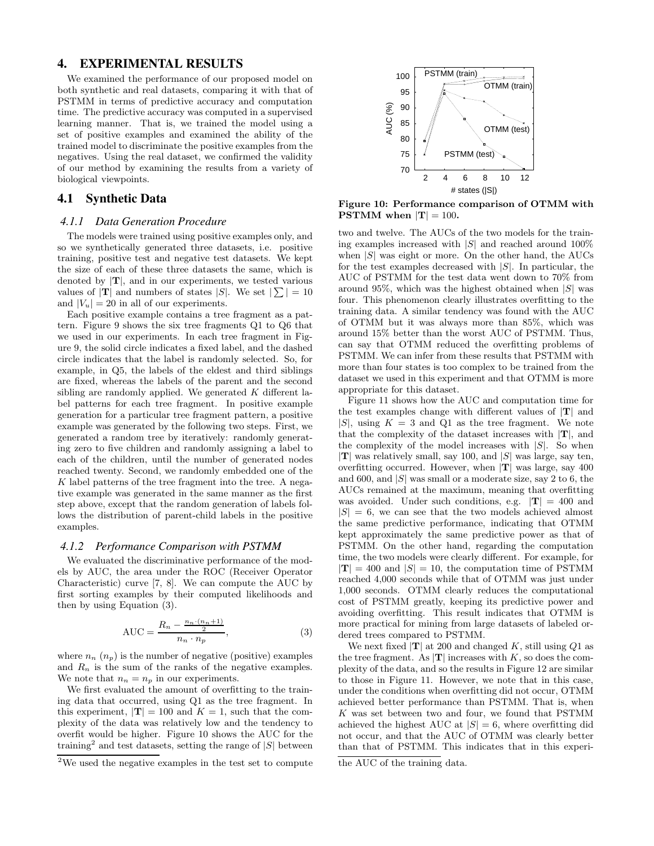## 4. EXPERIMENTAL RESULTS

We examined the performance of our proposed model on both synthetic and real datasets, comparing it with that of PSTMM in terms of predictive accuracy and computation time. The predictive accuracy was computed in a supervised learning manner. That is, we trained the model using a set of positive examples and examined the ability of the trained model to discriminate the positive examples from the negatives. Using the real dataset, we confirmed the validity of our method by examining the results from a variety of biological viewpoints.

# 4.1 Synthetic Data

#### *4.1.1 Data Generation Procedure*

The models were trained using positive examples only, and so we synthetically generated three datasets, i.e. positive training, positive test and negative test datasets. We kept the size of each of these three datasets the same, which is denoted by  $|\mathbf{T}|$ , and in our experiments, we tested various values of  $|\mathbf{T}|$  and numbers of states  $|S|$ . We set  $|\sum| = 10$ <br>and  $|V| = 20$  in all of our experiments and  $|V_u| = 20$  in all of our experiments.

Each positive example contains a tree fragment as a pattern. Figure 9 shows the six tree fragments Q1 to Q6 that we used in our experiments. In each tree fragment in Figure 9, the solid circle indicates a fixed label, and the dashed circle indicates that the label is randomly selected. So, for example, in Q5, the labels of the eldest and third siblings are fixed, whereas the labels of the parent and the second sibling are randomly applied. We generated  $K$  different label patterns for each tree fragment. In positive example generation for a particular tree fragment pattern, a positive example was generated by the following two steps. First, we generated a random tree by iteratively: randomly generating zero to five children and randomly assigning a label to each of the children, until the number of generated nodes reached twenty. Second, we randomly embedded one of the  $K$  label patterns of the tree fragment into the tree. A negative example was generated in the same manner as the first step above, except that the random generation of labels follows the distribution of parent-child labels in the positive examples.

## *4.1.2 Performance Comparison with PSTMM*

We evaluated the discriminative performance of the models by AUC, the area under the ROC (Receiver Operator Characteristic) curve [7, 8]. We can compute the AUC by first sorting examples by their computed likelihoods and then by using Equation (3).

$$
AUC = \frac{R_n - \frac{n_n \cdot (n_n + 1)}{2}}{n_n \cdot n_p},\tag{3}
$$

where  $n_n$   $(n_p)$  is the number of negative (positive) examples and  $R_n$  is the sum of the ranks of the negative examples. We note that  $n_n = n_p$  in our experiments.

We first evaluated the amount of overfitting to the training data that occurred, using Q1 as the tree fragment. In this experiment,  $|\mathbf{T}| = 100$  and  $K = 1$ , such that the complexity of the data was relatively low and the tendency to overfit would be higher. Figure 10 shows the AUC for the training<sup>2</sup> and test datasets, setting the range of  $|S|$  between



**Figure 10: Performance comparison of OTMM with PSTMM** when  $|\mathbf{T}| = 100$ .

two and twelve. The AUCs of the two models for the training examples increased with  $|S|$  and reached around 100% when  $|S|$  was eight or more. On the other hand, the AUCs for the test examples decreased with  $|S|$ . In particular, the AUC of PSTMM for the test data went down to 70% from around 95%, which was the highest obtained when  $|S|$  was four. This phenomenon clearly illustrates overfitting to the training data. A similar tendency was found with the AUC of OTMM but it was always more than 85%, which was around 15% better than the worst AUC of PSTMM. Thus, can say that OTMM reduced the overfitting problems of PSTMM. We can infer from these results that PSTMM with more than four states is too complex to be trained from the dataset we used in this experiment and that OTMM is more appropriate for this dataset.

Figure 11 shows how the AUC and computation time for the test examples change with different values of |**T**| and  $|S|$ , using  $K = 3$  and Q1 as the tree fragment. We note that the complexity of the dataset increases with |**T**|, and the complexity of the model increases with  $|S|$ . So when  $|\mathbf{T}|$  was relatively small, say 100, and  $|S|$  was large, say ten, overfitting occurred. However, when |**T**| was large, say 400 and 600, and  $|S|$  was small or a moderate size, say 2 to 6, the AUCs remained at the maximum, meaning that overfitting was avoided. Under such conditions, e.g.  $|\mathbf{T}| = 400$  and  $|S| = 6$ , we can see that the two models achieved almost the same predictive performance, indicating that OTMM kept approximately the same predictive power as that of PSTMM. On the other hand, regarding the computation time, the two models were clearly different. For example, for  $|\mathbf{T}| = 400$  and  $|S| = 10$ , the computation time of PSTMM reached 4,000 seconds while that of OTMM was just under 1,000 seconds. OTMM clearly reduces the computational cost of PSTMM greatly, keeping its predictive power and avoiding overfitting. This result indicates that OTMM is more practical for mining from large datasets of labeled ordered trees compared to PSTMM.

We next fixed  $|\mathbf{T}|$  at 200 and changed K, still using  $Q1$  as the tree fragment. As  $|\mathbf{T}|$  increases with  $K$ , so does the complexity of the data, and so the results in Figure 12 are similar to those in Figure 11. However, we note that in this case, under the conditions when overfitting did not occur, OTMM achieved better performance than PSTMM. That is, when K was set between two and four, we found that PSTMM achieved the highest AUC at  $|S| = 6$ , where overfitting did not occur, and that the AUC of OTMM was clearly better than that of PSTMM. This indicates that in this experi-

 $2$ We used the negative examples in the test set to compute

the AUC of the training data.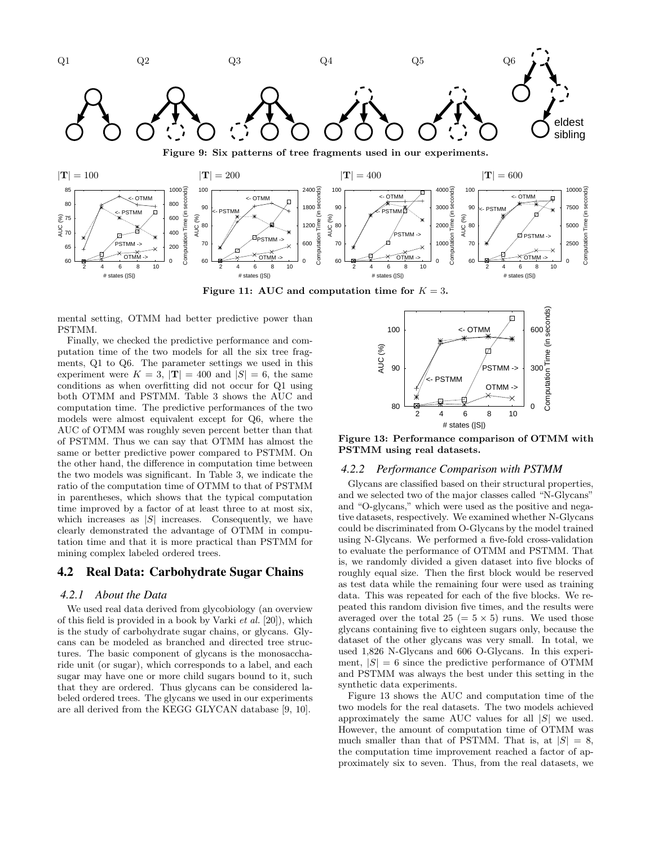

**Figure 11:** AUC and computation time for  $K = 3$ .

mental setting, OTMM had better predictive power than PSTMM.

Finally, we checked the predictive performance and computation time of the two models for all the six tree fragments, Q1 to Q6. The parameter settings we used in this experiment were  $K = 3$ ,  $|\mathbf{T}| = 400$  and  $|S| = 6$ , the same conditions as when overfitting did not occur for Q1 using both OTMM and PSTMM. Table 3 shows the AUC and computation time. The predictive performances of the two models were almost equivalent except for Q6, where the AUC of OTMM was roughly seven percent better than that of PSTMM. Thus we can say that OTMM has almost the same or better predictive power compared to PSTMM. On the other hand, the difference in computation time between the two models was significant. In Table 3, we indicate the ratio of the computation time of OTMM to that of PSTMM in parentheses, which shows that the typical computation time improved by a factor of at least three to at most six, which increases as  $|S|$  increases. Consequently, we have clearly demonstrated the advantage of OTMM in computation time and that it is more practical than PSTMM for mining complex labeled ordered trees.

## 4.2 Real Data: Carbohydrate Sugar Chains

## *4.2.1 About the Data*

We used real data derived from glycobiology (an overview of this field is provided in a book by Varki *et al.* [20]), which is the study of carbohydrate sugar chains, or glycans. Glycans can be modeled as branched and directed tree structures. The basic component of glycans is the monosaccharide unit (or sugar), which corresponds to a label, and each sugar may have one or more child sugars bound to it, such that they are ordered. Thus glycans can be considered labeled ordered trees. The glycans we used in our experiments are all derived from the KEGG GLYCAN database [9, 10].



**Figure 13: Performance comparison of OTMM with PSTMM using real datasets.**

#### *4.2.2 Performance Comparison with PSTMM*

Glycans are classified based on their structural properties, and we selected two of the major classes called "N-Glycans" and "O-glycans," which were used as the positive and negative datasets, respectively. We examined whether N-Glycans could be discriminated from O-Glycans by the model trained using N-Glycans. We performed a five-fold cross-validation to evaluate the performance of OTMM and PSTMM. That is, we randomly divided a given dataset into five blocks of roughly equal size. Then the first block would be reserved as test data while the remaining four were used as training data. This was repeated for each of the five blocks. We repeated this random division five times, and the results were averaged over the total 25 (=  $5 \times 5$ ) runs. We used those glycans containing five to eighteen sugars only, because the dataset of the other glycans was very small. In total, we used 1,826 N-Glycans and 606 O-Glycans. In this experiment,  $|S| = 6$  since the predictive performance of OTMM and PSTMM was always the best under this setting in the synthetic data experiments.

Figure 13 shows the AUC and computation time of the two models for the real datasets. The two models achieved approximately the same AUC values for all  $|S|$  we used. However, the amount of computation time of OTMM was much smaller than that of PSTMM. That is, at  $|S| = 8$ , the computation time improvement reached a factor of approximately six to seven. Thus, from the real datasets, we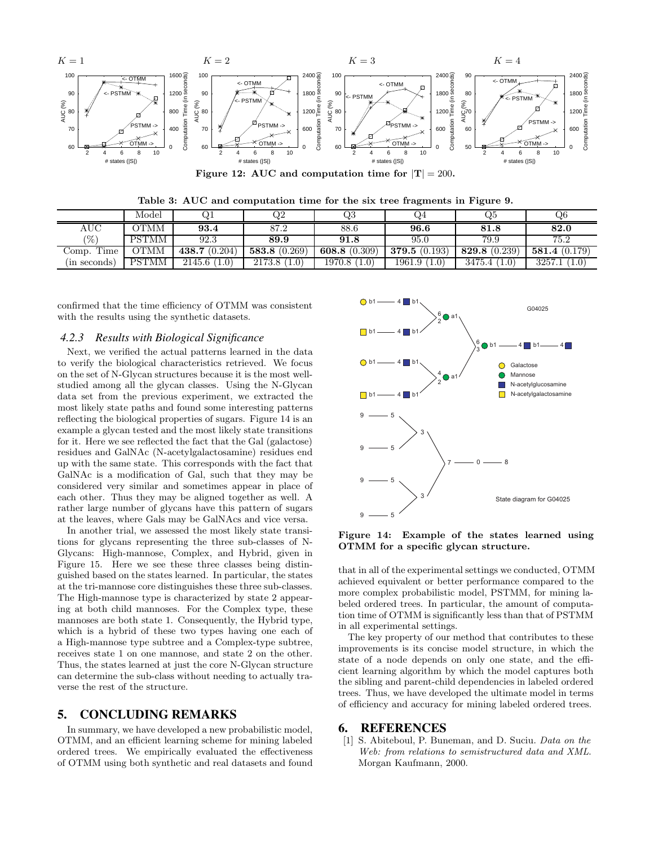

**Table 3: AUC and computation time for the six tree fragments in Figure 9.**

|               | Model        | $Q_{\perp}$               | QZ                      | Q3                      | Q4              | Q5            | Q6                      |
|---------------|--------------|---------------------------|-------------------------|-------------------------|-----------------|---------------|-------------------------|
| AUC           | ОТММ         | 93.4                      | 87.2                    | 88.6                    | 96.6            | 81.8          | 82.0                    |
| $(\% )$       | <b>PSTMM</b> | 92.3                      | 89.9                    | 91.8                    | 95.0            | 79.9          | 75.2                    |
| Time<br>Comp. | ОТММ         | 438.7 $(0.204)$           | 583.8 $(0.269)$         | 608.8 $(0.309)$         | 379.5 $(0.193)$ | 829.8 (0.239) | 581.4 $(0.179)$         |
| (in seconds)  | <b>PSTMM</b> | 2145.6 (<br>$1.0^{\circ}$ | 2173.8<br>$1.0^{\circ}$ | 1970.8<br>$1.0^{\circ}$ | 1961.9          | 3475.4 (      | 3257.1<br>$1.0^{\circ}$ |

confirmed that the time efficiency of OTMM was consistent with the results using the synthetic datasets.

#### *4.2.3 Results with Biological Significance*

Next, we verified the actual patterns learned in the data to verify the biological characteristics retrieved. We focus on the set of N-Glycan structures because it is the most wellstudied among all the glycan classes. Using the N-Glycan data set from the previous experiment, we extracted the most likely state paths and found some interesting patterns reflecting the biological properties of sugars. Figure 14 is an example a glycan tested and the most likely state transitions for it. Here we see reflected the fact that the Gal (galactose) residues and GalNAc (N-acetylgalactosamine) residues end up with the same state. This corresponds with the fact that GalNAc is a modification of Gal, such that they may be considered very similar and sometimes appear in place of each other. Thus they may be aligned together as well. A rather large number of glycans have this pattern of sugars at the leaves, where Gals may be GalNAcs and vice versa.

In another trial, we assessed the most likely state transitions for glycans representing the three sub-classes of N-Glycans: High-mannose, Complex, and Hybrid, given in Figure 15. Here we see these three classes being distinguished based on the states learned. In particular, the states at the tri-mannose core distinguishes these three sub-classes. The High-mannose type is characterized by state 2 appearing at both child mannoses. For the Complex type, these mannoses are both state 1. Consequently, the Hybrid type, which is a hybrid of these two types having one each of a High-mannose type subtree and a Complex-type subtree, receives state 1 on one mannose, and state 2 on the other. Thus, the states learned at just the core N-Glycan structure can determine the sub-class without needing to actually traverse the rest of the structure.

## 5. CONCLUDING REMARKS

In summary, we have developed a new probabilistic model, OTMM, and an efficient learning scheme for mining labeled ordered trees. We empirically evaluated the effectiveness of OTMM using both synthetic and real datasets and found



**Figure 14: Example of the states learned using OTMM for a specific glycan structure.**

that in all of the experimental settings we conducted, OTMM achieved equivalent or better performance compared to the more complex probabilistic model, PSTMM, for mining labeled ordered trees. In particular, the amount of computation time of OTMM is significantly less than that of PSTMM in all experimental settings.

The key property of our method that contributes to these improvements is its concise model structure, in which the state of a node depends on only one state, and the efficient learning algorithm by which the model captures both the sibling and parent-child dependencies in labeled ordered trees. Thus, we have developed the ultimate model in terms of efficiency and accuracy for mining labeled ordered trees.

## 6. REFERENCES

[1] S. Abiteboul, P. Buneman, and D. Suciu. *Data on the Web: from relations to semistructured data and XML*. Morgan Kaufmann, 2000.